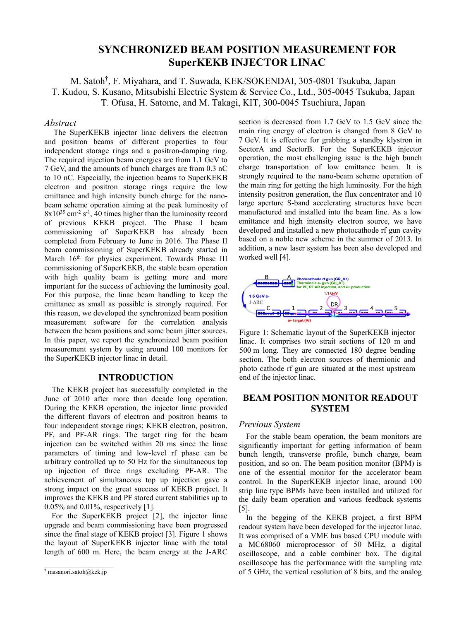# **SYNCHRONIZED BEAM POSITION MEASUREMENT FOR SuperKEKB INJECTOR LINAC**

M. Satoh† , F. Miyahara, and T. Suwada, KEK/SOKENDAI, 305-0801 Tsukuba, Japan T. Kudou, S. Kusano, Mitsubishi Electric System & Service Co., Ltd., 305-0045 Tsukuba, Japan T. Ofusa, H. Satome, and M. Takagi, KIT, 300-0045 Tsuchiura, Japan

### *Abstract*

The SuperKEKB injector linac delivers the electron and positron beams of different properties to four independent storage rings and a positron-damping ring. The required injection beam energies are from 1.1 GeV to 7 GeV, and the amounts of bunch charges are from 0.3 nC to 10 nC. Especially, the injection beams to SuperKEKB electron and positron storage rings require the low emittance and high intensity bunch charge for the nanobeam scheme operation aiming at the peak luminosity of  $8x10^{35}$  cm<sup>-2</sup> s<sup>-1</sup>, 40 times higher than the luminosity record of previous KEKB project. The Phase I beam commissioning of SuperKEKB has already been completed from February to June in 2016. The Phase II beam commissioning of SuperKEKB already started in March 16<sup>th</sup> for physics experiment. Towards Phase III commissioning of SuperKEKB, the stable beam operation with high quality beam is getting more and more important for the success of achieving the luminosity goal. For this purpose, the linac beam handling to keep the emittance as small as possible is strongly required. For this reason, we developed the synchronized beam position measurement software for the correlation analysis between the beam positions and some beam jitter sources. In this paper, we report the synchronized beam position measurement system by using around 100 monitors for the SuperKEKB injector linac in detail.

## **INTRODUCTION**

The KEKB project has successfully completed in the June of 2010 after more than decade long operation. During the KEKB operation, the injector linac provided the different flavors of electron and positron beams to four independent storage rings; KEKB electron, positron, PF, and PF-AR rings. The target ring for the beam injection can be switched within 20 ms since the linac parameters of timing and low-level rf phase can be arbitrary controlled up to 50 Hz for the simultaneous top up injection of three rings excluding PF-AR. The achievement of simultaneous top up injection gave a strong impact on the great success of KEKB project. It improves the KEKB and PF stored current stabilities up to 0.05% and 0.01%, respectively [1].

For the SuperKEKB project [2], the injector linac upgrade and beam commissioning have been progressed since the final stage of KEKB project [3]. Figure 1 shows the layout of SuperKEKB injector linac with the total length of 600 m. Here, the beam energy at the J-ARC

section is decreased from 1.7 GeV to 1.5 GeV since the main ring energy of electron is changed from 8 GeV to 7 GeV. It is effective for grabbing a standby klystron in SectorA and SectorB. For the SuperKEKB injector operation, the most challenging issue is the high bunch charge transportation of low emittance beam. It is strongly required to the nano-beam scheme operation of the main ring for getting the high luminosity. For the high intensity positron generation, the flux concentrator and 10 large aperture S-band accelerating structures have been manufactured and installed into the beam line. As a low emittance and high intensity electron source, we have developed and installed a new photocathode rf gun cavity based on a noble new scheme in the summer of 2013. In addition, a new laser system has been also developed and worked well [4].



Figure 1: Schematic layout of the SuperKEKB injector linac. It comprises two strait sections of 120 m and 500 m long. They are connected 180 degree bending section. The both electron sources of thermionic and photo cathode rf gun are situated at the most upstream end of the injector linac.

# **BEAM POSITION MONITOR READOUT SYSTEM**

#### *Previous System*

For the stable beam operation, the beam monitors are significantly important for getting information of beam bunch length, transverse profile, bunch charge, beam position, and so on. The beam position monitor (BPM) is one of the essential monitor for the accelerator beam control. In the SuperKEKB injector linac, around 100 strip line type BPMs have been installed and utilized for the daily beam operation and various feedback systems [5].

In the begging of the KEKB project, a first BPM readout system have been developed for the injector linac. It was comprised of a VME bus based CPU module with a MC68060 microprocessor of 50 MHz, a digital oscilloscope, and a cable combiner box. The digital oscilloscope has the performance with the sampling rate of 5 GHz, the vertical resolution of 8 bits, and the analog

<sup>†</sup> masanori.satoh@kek.jp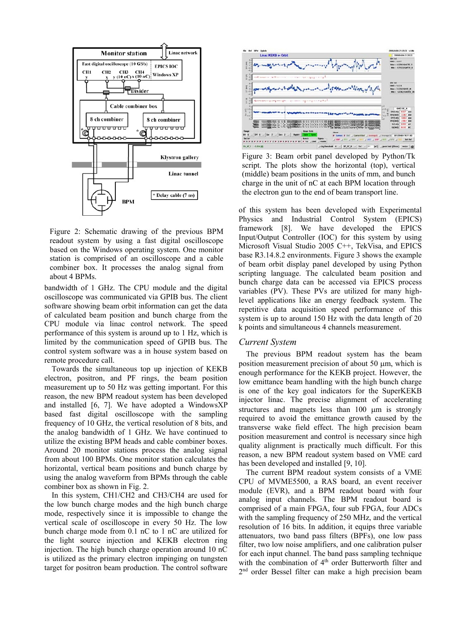

Figure 2: Schematic drawing of the previous BPM readout system by using a fast digital oscilloscope based on the Windows operating system. One monitor station is comprised of an oscilloscope and a cable combiner box. It processes the analog signal from about 4 BPMs.

bandwidth of 1 GHz. The CPU module and the digital oscilloscope was communicated via GPIB bus. The client software showing beam orbit information can get the data of calculated beam position and bunch charge from the CPU module via linac control network. The speed performance of this system is around up to 1 Hz, which is limited by the communication speed of GPIB bus. The control system software was a in house system based on remote procedure call.

Towards the simultaneous top up injection of KEKB electron, positron, and PF rings, the beam position measurement up to 50 Hz was getting important. For this reason, the new BPM readout system has been developed and installed [6, 7]. We have adopted a WindowsXP based fast digital oscilloscope with the sampling frequency of 10 GHz, the vertical resolution of 8 bits, and the analog bandwidth of 1 GHz. We have continued to utilize the existing BPM heads and cable combiner boxes. Around 20 monitor stations process the analog signal from about 100 BPMs. One monitor station calculates the horizontal, vertical beam positions and bunch charge by using the analog waveform from BPMs through the cable combiner box as shown in Fig. 2.

In this system, CH1/CH2 and CH3/CH4 are used for the low bunch charge modes and the high bunch charge mode, respectively since it is impossible to change the vertical scale of oscilloscope in every 50 Hz. The low bunch charge mode from 0.1 nC to 1 nC are utilized for the light source injection and KEKB electron ring injection. The high bunch charge operation around 10 nC is utilized as the primary electron impinging on tungsten target for positron beam production. The control software



Figure 3: Beam orbit panel developed by Python/Tk script. The plots show the horizontal (top), vertical (middle) beam positions in the units of mm, and bunch charge in the unit of nC at each BPM location through the electron gun to the end of beam transport line.

of this system has been developed with Experimental Physics and Industrial Control System (EPICS) framework [8]. We have developed the EPICS Input/Output Controller (IOC) for this system by using Microsoft Visual Studio 2005 C++, TekVisa, and EPICS base R3.14.8.2 environments. Figure 3 shows the example of beam orbit display panel developed by using Python scripting language. The calculated beam position and bunch charge data can be accessed via EPICS process variables (PV). These PVs are utilized for many highlevel applications like an energy feedback system. The repetitive data acquisition speed performance of this system is up to around 150 Hz with the data length of 20 k points and simultaneous 4 channels measurement.

#### *Current System*

The previous BPM readout system has the beam position measurement precision of about 50 µm, which is enough performance for the KEKB project. However, the low emittance beam handling with the high bunch charge is one of the key goal indicators for the SuperKEKB injector linac. The precise alignment of accelerating structures and magnets less than 100 µm is strongly required to avoid the emittance growth caused by the transverse wake field effect. The high precision beam position measurement and control is necessary since high quality alignment is practically much difficult. For this reason, a new BPM readout system based on VME card has been developed and installed [9, 10].

The current BPM readout system consists of a VME CPU of MVME5500, a RAS board, an event receiver module (EVR), and a BPM readout board with four analog input channels. The BPM readout board is comprised of a main FPGA, four sub FPGA, four ADCs with the sampling frequency of 250 MHz, and the vertical resolution of 16 bits. In addition, it equips three variable attenuators, two band pass filters (BPFs), one low pass filter, two low noise amplifiers, and one calibration pulser for each input channel. The band pass sampling technique with the combination of 4<sup>th</sup> order Butterworth filter and 2nd order Bessel filter can make a high precision beam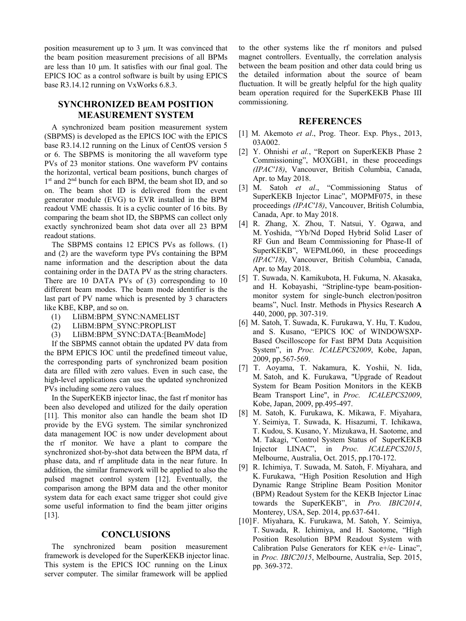position measurement up to 3 µm. It was convinced that the beam position measurement precisions of all BPMs are less than 10 µm. It satisfies with our final goal. The EPICS IOC as a control software is built by using EPICS base R3.14.12 running on VxWorks 6.8.3.

# **SYNCHRONIZED BEAM POSITION MEASUREMENT SYSTEM**

A synchronized beam position measurement system (SBPMS) is developed as the EPICS IOC with the EPICS base R3.14.12 running on the Linux of CentOS version 5 or 6. The SBPMS is monitoring the all waveform type PVs of 23 monitor stations. One waveform PV contains the horizontal, vertical beam positions, bunch charges of 1<sup>st</sup> and 2<sup>nd</sup> bunch for each BPM, the beam shot ID, and so on. The beam shot ID is delivered from the event generator module (EVG) to EVR installed in the BPM readout VME chassis. It is a cyclic counter of 16 bits. By comparing the beam shot ID, the SBPMS can collect only exactly synchronized beam shot data over all 23 BPM readout stations.

The SBPMS contains 12 EPICS PVs as follows. (1) and (2) are the waveform type PVs containing the BPM name information and the description about the data containing order in the DATA PV as the string characters. There are 10 DATA PVs of (3) corresponding to 10 different beam modes. The beam mode identifier is the last part of PV name which is presented by 3 characters like KBE, KBP, and so on.

- (1) LIiBM:BPM\_SYNC:NAMELIST
- (2) LIiBM:BPM\_SYNC:PROPLIST
- (3) LIiBM:BPM\_SYNC:DATA:[BeamMode]

If the SBPMS cannot obtain the updated PV data from the BPM EPICS IOC until the predefined timeout value, the corresponding parts of synchronized beam position data are filled with zero values. Even in such case, the high-level applications can use the updated synchronized PVs including some zero values.

In the SuperKEKB injector linac, the fast rf monitor has been also developed and utilized for the daily operation [11]. This monitor also can handle the beam shot ID provide by the EVG system. The similar synchronized data management IOC is now under development about the rf monitor. We have a plant to compare the synchronized shot-by-shot data between the BPM data, rf phase data, and rf amplitude data in the near future. In addition, the similar framework will be applied to also the pulsed magnet control system [12]. Eventually, the comparison among the BPM data and the other monitor system data for each exact same trigger shot could give some useful information to find the beam jitter origins [13].

### **CONCLUSIONS**

The synchronized beam position measurement framework is developed for the SuperKEKB injector linac. This system is the EPICS IOC running on the Linux server computer. The similar framework will be applied

to the other systems like the rf monitors and pulsed magnet controllers. Eventually, the correlation analysis between the beam position and other data could bring us the detailed information about the source of beam fluctuation. It will be greatly helpful for the high quality beam operation required for the SuperKEKB Phase III commissioning.

#### **REFERENCES**

- [1] M. Akemoto *et al*., Prog. Theor. Exp. Phys., 2013, 03A002.
- [2] Y. Ohnishi *et al.*, "Report on SuperKEKB Phase 2 Commissioning", MOXGB1, in these proceedings *(IPAC'18)*, Vancouver, British Columbia, Canada, Apr. to May 2018.
- [3] M. Satoh *et al*., "Commissioning Status of SuperKEKB Injector Linac", MOPMF075, in these proceedings *(IPAC'18)*, Vancouver, British Columbia, Canada, Apr. to May 2018.
- [4] R. Zhang, X. Zhou, T. Natsui, Y. Ogawa, and M. Yoshida, "Yb/Nd Doped Hybrid Solid Laser of RF Gun and Beam Commissioning for Phase-II of SuperKEKB", WEPML060, in these proceedings *(IPAC'18)*, Vancouver, British Columbia, Canada, Apr. to May 2018.
- [5] T. Suwada, N. Kamikubota, H. Fukuma, N. Akasaka, and H. Kobayashi, "Stripline-type beam-positionmonitor system for single-bunch electron/positron beams", Nucl. Instr. Methods in Physics Research **A**  440, 2000, pp. 307-319.
- [6] M. Satoh, T. Suwada, K. Furukawa, Y. Hu, T. Kudou, and S. Kusano, "EPICS IOC of WINDOWSXP-Based Oscilloscope for Fast BPM Data Acquisition System", in *Proc. ICALEPCS2009*, Kobe, Japan, 2009, pp.567-569.
- [7] T. Aoyama, T. Nakamura, K. Yoshii, N. Iida, M. Satoh, and K. Furukawa, "Upgrade of Readout System for Beam Position Monitors in the KEKB Beam Transport Line", in *Proc. ICALEPCS2009*, Kobe, Japan, 2009, pp.495-497.
- [8] M. Satoh, K. Furukawa, K. Mikawa, F. Miyahara, Y. Seimiya, T. Suwada, K. Hisazumi, T. Ichikawa, T. Kudou, S. Kusano, Y. Mizukawa, H. Saotome, and M. Takagi, "Control System Status of SuperKEKB Injector LINAC", in *Proc. ICALEPCS2015*, Melbourne, Australia, Oct. 2015, pp.170-172.
- [9] R. Ichimiya, T. Suwada, M. Satoh, F. Miyahara, and K. Furukawa, "High Position Resolution and High Dynamic Range Stripline Beam Position Monitor (BPM) Readout System for the KEKB Injector Linac towards the SuperKEKB", in *Pro. IBIC2014*, Monterey, USA, Sep. 2014, pp.637-641.
- [10] F. Miyahara, K. Furukawa, M. Satoh, Y. Seimiya, T. Suwada, R. Ichimiya, and H. Saotome, "High Position Resolution BPM Readout System with Calibration Pulse Generators for KEK e+/e- Linac", in *Proc. IBIC2015*, Melbourne, Australia, Sep. 2015, pp. 369-372.